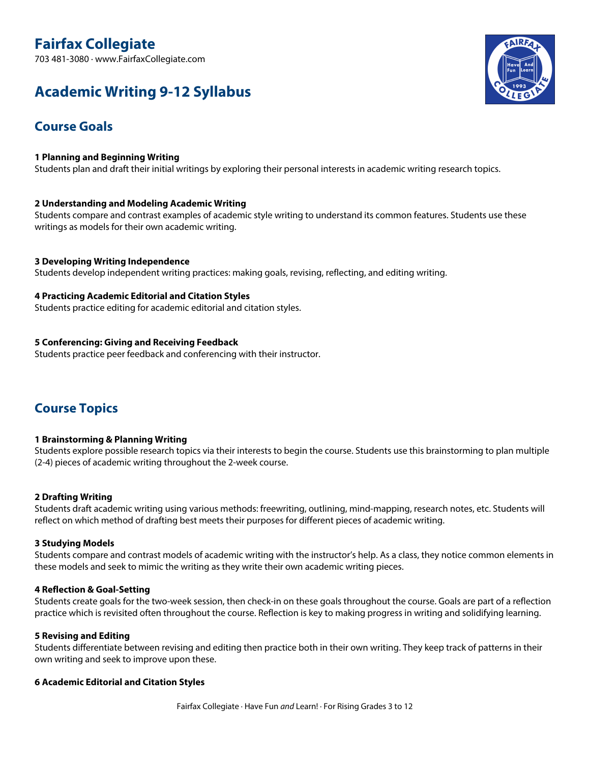# **Fairfax Collegiate**

703 481-3080 · www.FairfaxCollegiate.com

# **Academic Writing 9-12 Syllabus**



# **Course Goals**

## **1 Planning and Beginning Writing**

Students plan and draft their initial writings by exploring their personal interests in academic writing research topics.

## **2 Understanding and Modeling Academic Writing**

Students compare and contrast examples of academic style writing to understand its common features. Students use these writings as models for their own academic writing.

## **3 Developing Writing Independence**

Students develop independent writing practices: making goals, revising, reflecting, and editing writing.

## **4 Practicing Academic Editorial and Citation Styles**

Students practice editing for academic editorial and citation styles.

## **5 Conferencing: Giving and Receiving Feedback**

Students practice peer feedback and conferencing with their instructor.

## **Course Topics**

## **1 Brainstorming & Planning Writing**

Students explore possible research topics via their interests to begin the course. Students use this brainstorming to plan multiple (2-4) pieces of academic writing throughout the 2-week course.

## **2 Drafting Writing**

Students draft academic writing using various methods: freewriting, outlining, mind-mapping, research notes, etc. Students will reflect on which method of drafting best meets their purposes for different pieces of academic writing.

## **3 Studying Models**

Students compare and contrast models of academic writing with the instructor's help. As a class, they notice common elements in these models and seek to mimic the writing as they write their own academic writing pieces.

## **4 Reflection & Goal-Setting**

Students create goals for the two-week session, then check-in on these goals throughout the course. Goals are part of a reflection practice which is revisited often throughout the course. Reflection is key to making progress in writing and solidifying learning.

## **5 Revising and Editing**

Students differentiate between revising and editing then practice both in their own writing. They keep track of patterns in their own writing and seek to improve upon these.

## **6 Academic Editorial and Citation Styles**

Fairfax Collegiate · Have Fun *and* Learn! · For Rising Grades 3 to 12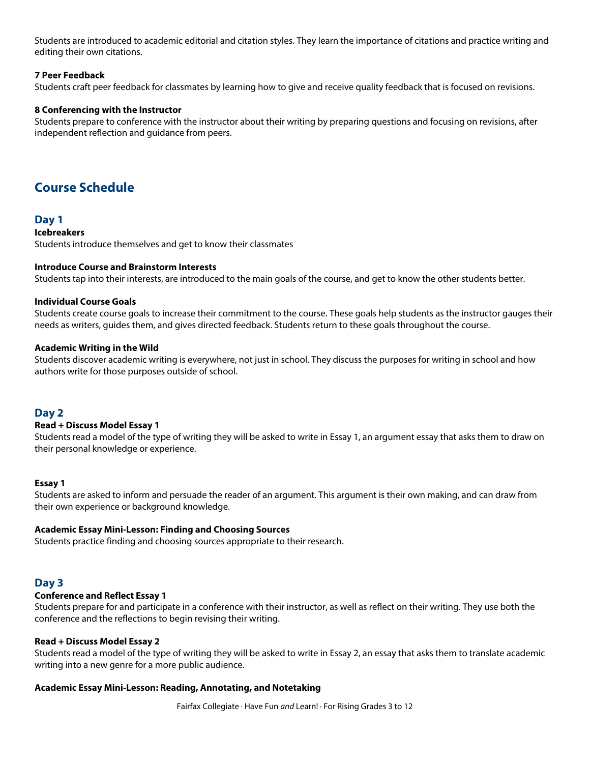Students are introduced to academic editorial and citation styles. They learn the importance of citations and practice writing and editing their own citations.

## **7 Peer Feedback**

Students craft peer feedback for classmates by learning how to give and receive quality feedback that is focused on revisions.

## **8 Conferencing with the Instructor**

Students prepare to conference with the instructor about their writing by preparing questions and focusing on revisions, after independent reflection and guidance from peers.

## **Course Schedule**

## **Day 1**

#### **Icebreakers**

Students introduce themselves and get to know their classmates

## **Introduce Course and Brainstorm Interests**

Students tap into their interests, are introduced to the main goals of the course, and get to know the other students better.

## **Individual Course Goals**

Students create course goals to increase their commitment to the course. These goals help students as the instructor gauges their needs as writers, guides them, and gives directed feedback. Students return to these goals throughout the course.

#### **Academic Writing in the Wild**

Students discover academic writing is everywhere, not just in school. They discuss the purposes for writing in school and how authors write for those purposes outside of school.

## **Day 2**

## **Read + Discuss Model Essay 1**

Students read a model of the type of writing they will be asked to write in Essay 1, an argument essay that asks them to draw on their personal knowledge or experience.

## **Essay 1**

Students are asked to inform and persuade the reader of an argument. This argument is their own making, and can draw from their own experience or background knowledge.

## **Academic Essay Mini-Lesson: Finding and Choosing Sources**

Students practice finding and choosing sources appropriate to their research.

## **Day 3**

## **Conference and Reflect Essay 1**

Students prepare for and participate in a conference with their instructor, as well as reflect on their writing. They use both the conference and the reflections to begin revising their writing.

## **Read + Discuss Model Essay 2**

Students read a model of the type of writing they will be asked to write in Essay 2, an essay that asks them to translate academic writing into a new genre for a more public audience.

#### **Academic Essay Mini-Lesson: Reading, Annotating, and Notetaking**

Fairfax Collegiate · Have Fun *and* Learn! · For Rising Grades 3 to 12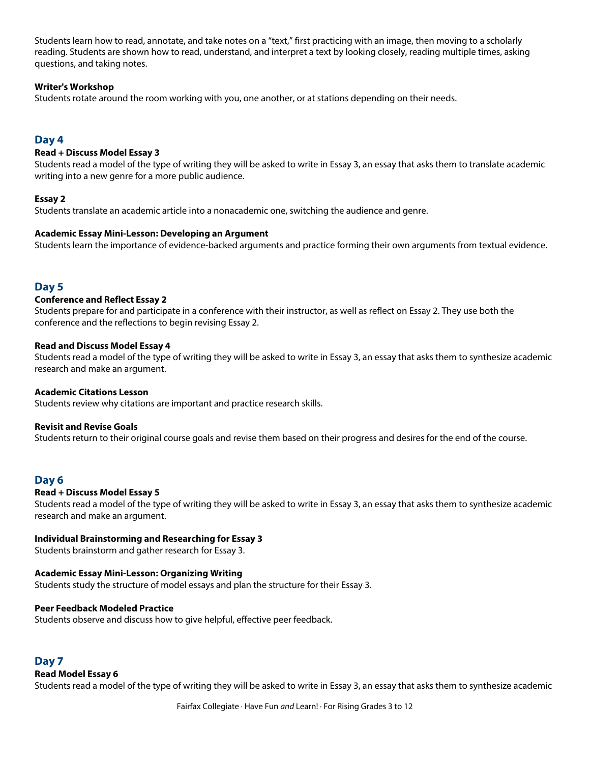Students learn how to read, annotate, and take notes on a "text," first practicing with an image, then moving to a scholarly reading. Students are shown how to read, understand, and interpret a text by looking closely, reading multiple times, asking questions, and taking notes.

## **Writer's Workshop**

Students rotate around the room working with you, one another, or at stations depending on their needs.

## **Day 4**

## **Read + Discuss Model Essay 3**

Students read a model of the type of writing they will be asked to write in Essay 3, an essay that asks them to translate academic writing into a new genre for a more public audience.

## **Essay 2**

Students translate an academic article into a nonacademic one, switching the audience and genre.

## **Academic Essay Mini-Lesson: Developing an Argument**

Students learn the importance of evidence-backed arguments and practice forming their own arguments from textual evidence.

## **Day 5**

## **Conference and Reflect Essay 2**

Students prepare for and participate in a conference with their instructor, as well as reflect on Essay 2. They use both the conference and the reflections to begin revising Essay 2.

#### **Read and Discuss Model Essay 4**

Students read a model of the type of writing they will be asked to write in Essay 3, an essay that asks them to synthesize academic research and make an argument.

## **Academic Citations Lesson**

Students review why citations are important and practice research skills.

## **Revisit and Revise Goals**

Students return to their original course goals and revise them based on their progress and desires for the end of the course.

## **Day 6**

## **Read + Discuss Model Essay 5**

Students read a model of the type of writing they will be asked to write in Essay 3, an essay that asks them to synthesize academic research and make an argument.

## **Individual Brainstorming and Researching for Essay 3**

Students brainstorm and gather research for Essay 3.

## **Academic Essay Mini-Lesson: Organizing Writing**

Students study the structure of model essays and plan the structure for their Essay 3.

## **Peer Feedback Modeled Practice**

Students observe and discuss how to give helpful, effective peer feedback.

## **Day 7**

## **Read Model Essay 6**

Students read a model of the type of writing they will be asked to write in Essay 3, an essay that asks them to synthesize academic

Fairfax Collegiate · Have Fun *and* Learn! · For Rising Grades 3 to 12